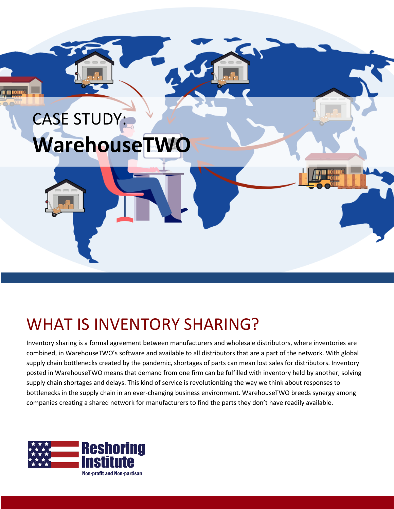

#### WHAT IS INVENTORY SHARING?

Inventory sharing is a formal agreement between manufacturers and wholesale distributors, where inventories are combined, in WarehouseTWO's software and available to all distributors that are a part of the network. With global supply chain bottlenecks created by the pandemic, shortages of parts can mean lost sales for distributors. Inventory posted in WarehouseTWO means that demand from one firm can be fulfilled with inventory held by another, solving supply chain shortages and delays. This kind of service is revolutionizing the way we think about responses to bottlenecks in the supply chain in an ever-changing business environment. WarehouseTWO breeds synergy among companies creating a shared network for manufacturers to find the parts they don't have readily available.

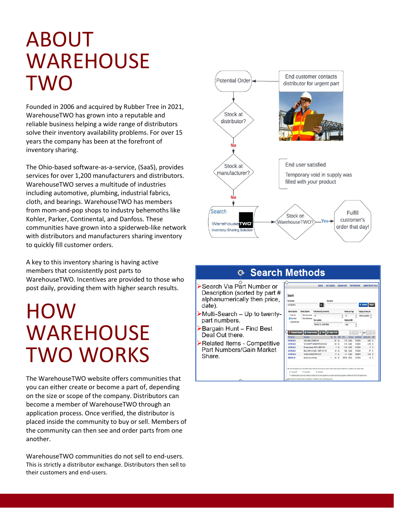### ABOUT WAREHOUSE TWO

Founded in 2006 and acquired by Rubber Tree in 2021, WarehouseTWO has grown into a reputable and reliable business helping a wide range of distributors solve their inventory availability problems. For over 15 years the company has been at the forefront of inventory sharing.

The Ohio-based software-as-a-service, (SaaS), provides services for over 1,200 manufacturers and distributors. WarehouseTWO serves a multitude of industries including automotive, plumbing, industrial fabrics, cloth, and bearings. WarehouseTWO has members from mom-and-pop shops to industry behemoths like Kohler, Parker, Continental, and Danfoss. These communities have grown into a spiderweb-like network with distributors and manufacturers sharing inventory to quickly fill customer orders.

A key to this inventory sharing is having active members that consistently post parts to WarehouseTWO. Incentives are provided to those who post daily, providing them with higher search results.

### **HOW** WAREHOUSE TWO WORKS

The WarehouseTWO website offers communities that you can either create or become a part of, depending on the size or scope of the company. Distributors can become a member of WarehouseTWO through an application process. Once verified, the distributor is placed inside the community to buy or sell. Members of the community can then see and order parts from one another.

WarehouseTWO communities do not sell to end-users. This is strictly a distributor exchange. Distributors then sell to their customers and end-users.



#### **⊙ Search Methods**

- Search Via Part Number or Description (sorted by part # alphanumerically then price, date).
- Multi-Search Up to twentypart numbers.
- Bargain Hunt Find Best Deal Out there.
- Related Items Competitive Part Numbers/Gain Market Share.

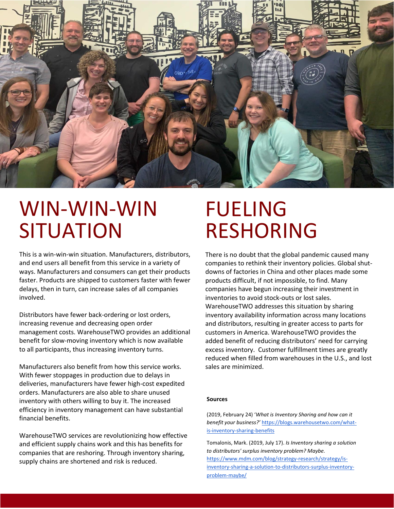

## WIN-WIN-WIN **SITUATION**

This is a win-win-win situation. Manufacturers, distributors, and end users all benefit from this service in a variety of ways. Manufacturers and consumers can get their products faster. Products are shipped to customers faster with fewer delays, then in turn, can increase sales of all companies involved.

Distributors have fewer back-ordering or lost orders, increasing revenue and decreasing open order management costs. WarehouseTWO provides an additional benefit for slow-moving inventory which is now available to all participants, thus increasing inventory turns.

Manufacturers also benefit from how this service works. With fewer stoppages in production due to delays in deliveries, manufacturers have fewer high-cost expedited orders. Manufacturers are also able to share unused inventory with others willing to buy it. The increased efficiency in inventory management can have substantial financial benefits.

WarehouseTWO services are revolutionizing how effective and efficient supply chains work and this has benefits for companies that are reshoring. Through inventory sharing, supply chains are shortened and risk is reduced.

# FUELING RESHORING

There is no doubt that the global pandemic caused many companies to rethink their inventory policies. Global shutdowns of factories in China and other places made some products difficult, if not impossible, to find. Many companies have begun increasing their investment in inventories to avoid stock-outs or lost sales. WarehouseTWO addresses this situation by sharing inventory availability information across many locations and distributors, resulting in greater access to parts for customers in America. WarehouseTWO provides the added benefit of reducing distributors' need for carrying excess inventory. Customer fulfillment times are greatly reduced when filled from warehouses in the U.S., and lost sales are minimized.

#### **Sources**

(2019, February 24) '*What is Inventory Sharing and how can it benefit your business?'* [https://blogs.warehousetwo.com/what](https://blogs.warehousetwo.com/what-is-inventory-sharing-benefits)[is-inventory-sharing-benefits](https://blogs.warehousetwo.com/what-is-inventory-sharing-benefits)

● Tomalonis, Mark. (2019, July 17). *Is Inventory sharing a solution to distributors' surplus inventory problem? Maybe.* 

[https://www.mdm.com/blog/strategy-research/strategy/is](https://www.mdm.com/blog/strategy-research/strategy/is-inventory-sharing-a-solution-to-distributors-surplus-inventory-problem-maybe/)[inventory-sharing-a-solution-to-distributors-surplus-inventory](https://www.mdm.com/blog/strategy-research/strategy/is-inventory-sharing-a-solution-to-distributors-surplus-inventory-problem-maybe/)[problem-maybe/](https://www.mdm.com/blog/strategy-research/strategy/is-inventory-sharing-a-solution-to-distributors-surplus-inventory-problem-maybe/)